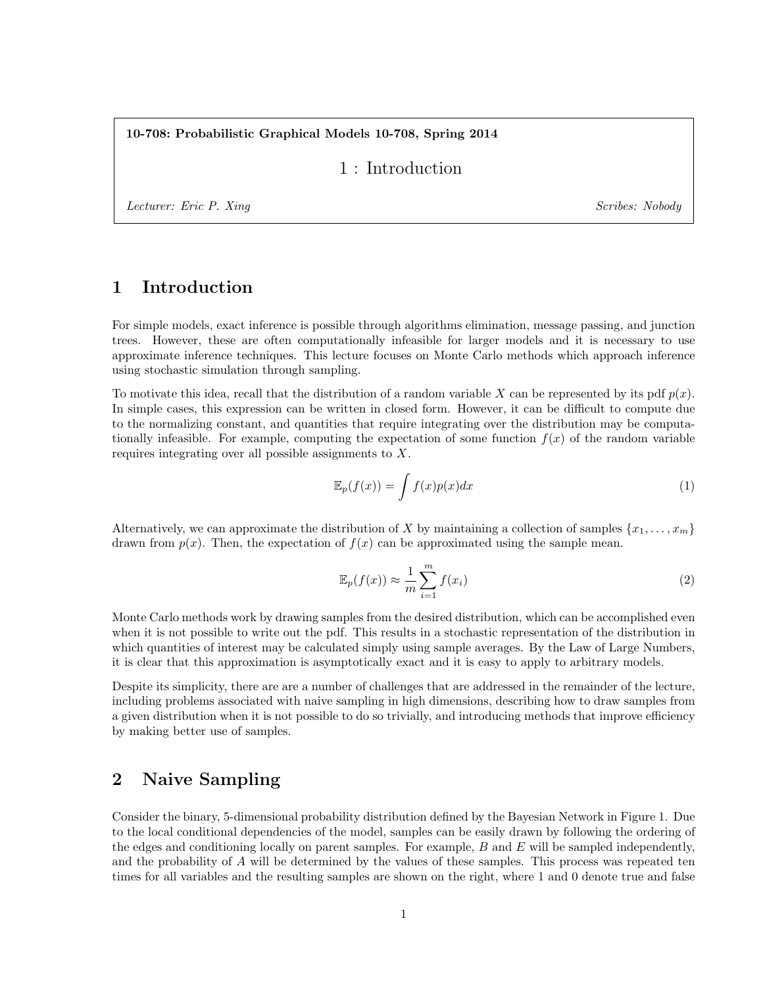10-708: Probabilistic Graphical Models 10-708, Spring 2014

### 1 : Introduction

Lecturer: Eric P. Xing Scribes: Nobody

# 1 Introduction

For simple models, exact inference is possible through algorithms elimination, message passing, and junction trees. However, these are often computationally infeasible for larger models and it is necessary to use approximate inference techniques. This lecture focuses on Monte Carlo methods which approach inference using stochastic simulation through sampling.

To motivate this idea, recall that the distribution of a random variable X can be represented by its pdf  $p(x)$ . In simple cases, this expression can be written in closed form. However, it can be difficult to compute due to the normalizing constant, and quantities that require integrating over the distribution may be computationally infeasible. For example, computing the expectation of some function  $f(x)$  of the random variable requires integrating over all possible assignments to X.

$$
\mathbb{E}_p(f(x)) = \int f(x)p(x)dx
$$
\n(1)

Alternatively, we can approximate the distribution of X by maintaining a collection of samples  $\{x_1, \ldots, x_m\}$ drawn from  $p(x)$ . Then, the expectation of  $f(x)$  can be approximated using the sample mean.

$$
\mathbb{E}_p(f(x)) \approx \frac{1}{m} \sum_{i=1}^m f(x_i)
$$
\n(2)

Monte Carlo methods work by drawing samples from the desired distribution, which can be accomplished even when it is not possible to write out the pdf. This results in a stochastic representation of the distribution in which quantities of interest may be calculated simply using sample averages. By the Law of Large Numbers, it is clear that this approximation is asymptotically exact and it is easy to apply to arbitrary models.

Despite its simplicity, there are are a number of challenges that are addressed in the remainder of the lecture, including problems associated with naive sampling in high dimensions, describing how to draw samples from a given distribution when it is not possible to do so trivially, and introducing methods that improve efficiency by making better use of samples.

# 2 Naive Sampling

Consider the binary, 5-dimensional probability distribution defined by the Bayesian Network in Figure 1. Due to the local conditional dependencies of the model, samples can be easily drawn by following the ordering of the edges and conditioning locally on parent samples. For example,  $B$  and  $E$  will be sampled independently, and the probability of A will be determined by the values of these samples. This process was repeated ten times for all variables and the resulting samples are shown on the right, where 1 and 0 denote true and false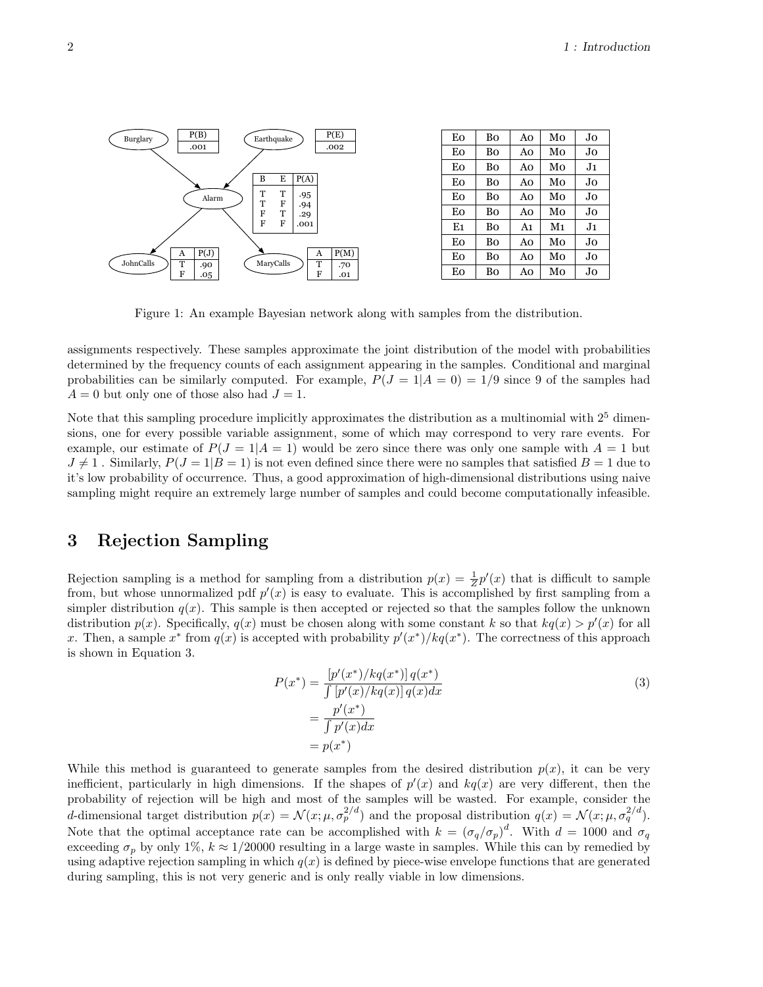

Figure 1: An example Bayesian network along with samples from the distribution. 1

assignments respectively. These samples approximate the joint distribution of the model with probabilities determined by the frequency counts of each assignment appearing in the samples. Conditional and marginal probabilities can be similarly computed. For example,  $P(J = 1|A = 0) = 1/9$  since 9 of the samples had  $A = 0$  but only one of those also had  $J = 1$ .

Note that this sampling procedure implicitly approximates the distribution as a multinomial with  $2^5$  dimensions, one for every possible variable assignment, some of which may correspond to very rare events. For example, our estimate of  $P(J = 1|A = 1)$  would be zero since there was only one sample with  $A = 1$  but  $J \neq 1$ . Similarly,  $P(J = 1|B = 1)$  is not even defined since there were no samples that satisfied  $B = 1$  due to it's low probability of occurrence. Thus, a good approximation of high-dimensional distributions using naive sampling might require an extremely large number of samples and could become computationally infeasible.

## 3 Rejection Sampling

Rejection sampling is a method for sampling from a distribution  $p(x) = \frac{1}{Z}p'(x)$  that is difficult to sample from, but whose unnormalized pdf  $p'(x)$  is easy to evaluate. This is accomplished by first sampling from a simpler distribution  $q(x)$ . This sample is then accepted or rejected so that the samples follow the unknown distribution  $p(x)$ . Specifically,  $q(x)$  must be chosen along with some constant k so that  $kq(x) > p'(x)$  for all x. Then, a sample x<sup>\*</sup> from  $q(x)$  is accepted with probability  $p'(x^*)/kq(x^*)$ . The correctness of this approach is shown in Equation 3.

$$
P(x^*) = \frac{[p'(x^*)/kq(x^*)]q(x^*)}{\int [p'(x)/kq(x)]q(x)dx}
$$
  
= 
$$
\frac{p'(x^*)}{\int p'(x)dx}
$$
  
= 
$$
p(x^*)
$$
 (3)

While this method is guaranteed to generate samples from the desired distribution  $p(x)$ , it can be very inefficient, particularly in high dimensions. If the shapes of  $p'(x)$  and  $kq(x)$  are very different, then the probability of rejection will be high and most of the samples will be wasted. For example, consider the d-dimensional target distribution  $p(x) = \mathcal{N}(x; \mu, \sigma_p^{2/d})$  and the proposal distribution  $q(x) = \mathcal{N}(x; \mu, \sigma_q^{2/d})$ . Note that the optimal acceptance rate can be accomplished with  $k = (\sigma_q/\sigma_p)^d$ . With  $d = 1000$  and  $\sigma_q$ exceeding  $\sigma_p$  by only 1%,  $k \approx 1/20000$  resulting in a large waste in samples. While this can by remedied by using adaptive rejection sampling in which  $q(x)$  is defined by piece-wise envelope functions that are generated during sampling, this is not very generic and is only really viable in low dimensions.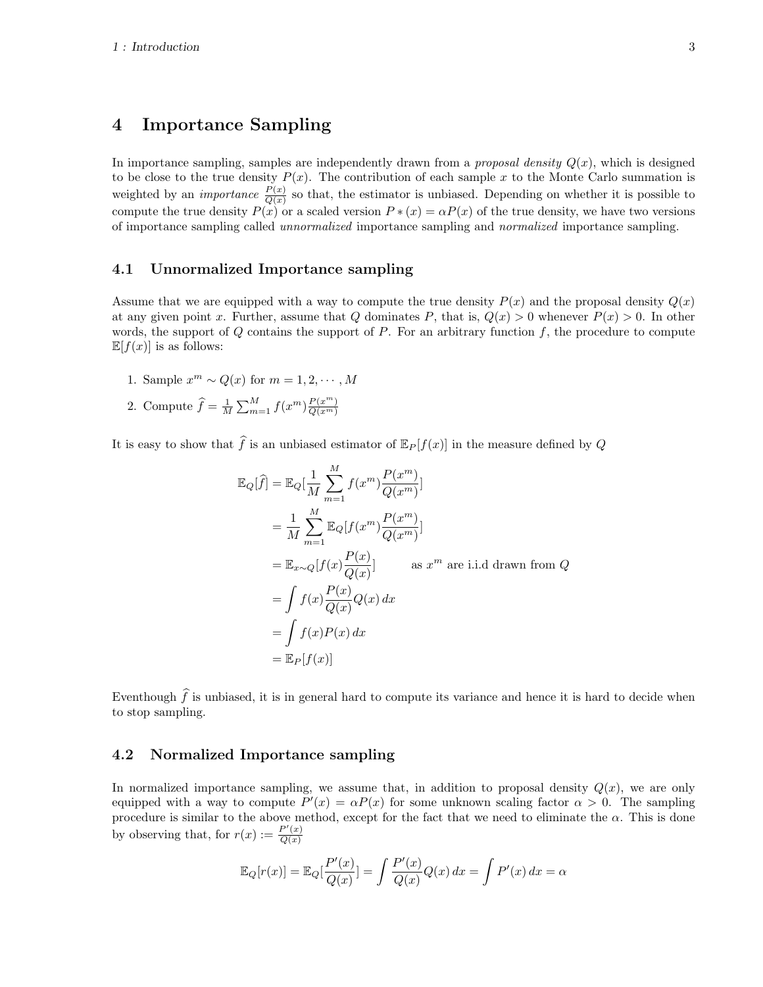## 4 Importance Sampling

In importance sampling, samples are independently drawn from a *proposal density*  $Q(x)$ , which is designed to be close to the true density  $P(x)$ . The contribution of each sample x to the Monte Carlo summation is weighted by an *importance*  $\frac{P(x)}{Q(x)}$  so that, the estimator is unbiased. Depending on whether it is possible to compute the true density  $P(x)$  or a scaled version  $P*(x) = \alpha P(x)$  of the true density, we have two versions of importance sampling called unnormalized importance sampling and normalized importance sampling.

#### 4.1 Unnormalized Importance sampling

Assume that we are equipped with a way to compute the true density  $P(x)$  and the proposal density  $Q(x)$ at any given point x. Further, assume that Q dominates P, that is,  $Q(x) > 0$  whenever  $P(x) > 0$ . In other words, the support of  $Q$  contains the support of  $P$ . For an arbitrary function  $f$ , the procedure to compute  $\mathbb{E}[f(x)]$  is as follows:

- 1. Sample  $x^m \sim Q(x)$  for  $m = 1, 2, \cdots, M$
- 2. Compute  $\widehat{f} = \frac{1}{M} \sum_{m=1}^{M} f(x^m) \frac{P(x^m)}{Q(x^m)}$  $\overline{Q(x^m)}$

It is easy to show that  $\widehat{f}$  is an unbiased estimator of  $\mathbb{E}_P[f(x)]$  in the measure defined by Q

$$
\mathbb{E}_{Q}[\widehat{f}] = \mathbb{E}_{Q}[\frac{1}{M} \sum_{m=1}^{M} f(x^{m}) \frac{P(x^{m})}{Q(x^{m})}]
$$
  
\n
$$
= \frac{1}{M} \sum_{m=1}^{M} \mathbb{E}_{Q}[f(x^{m}) \frac{P(x^{m})}{Q(x^{m})}]
$$
  
\n
$$
= \mathbb{E}_{x \sim Q}[f(x) \frac{P(x)}{Q(x)}] \text{ as } x^{m} \text{ are i.i.d drawn from } Q
$$
  
\n
$$
= \int f(x) \frac{P(x)}{Q(x)} Q(x) dx
$$
  
\n
$$
= \int f(x) P(x) dx
$$
  
\n
$$
= \mathbb{E}_{P}[f(x)]
$$

Eventhough  $\hat{f}$  is unbiased, it is in general hard to compute its variance and hence it is hard to decide when to stop sampling.

#### 4.2 Normalized Importance sampling

In normalized importance sampling, we assume that, in addition to proposal density  $Q(x)$ , we are only equipped with a way to compute  $P'(x) = \alpha P(x)$  for some unknown scaling factor  $\alpha > 0$ . The sampling procedure is similar to the above method, except for the fact that we need to eliminate the  $\alpha$ . This is done by observing that, for  $r(x) := \frac{P'(x)}{O(x)}$  $Q(x)$ 

$$
\mathbb{E}_Q[r(x)] = \mathbb{E}_Q[\frac{P'(x)}{Q(x)}] = \int \frac{P'(x)}{Q(x)}Q(x) dx = \int P'(x) dx = \alpha
$$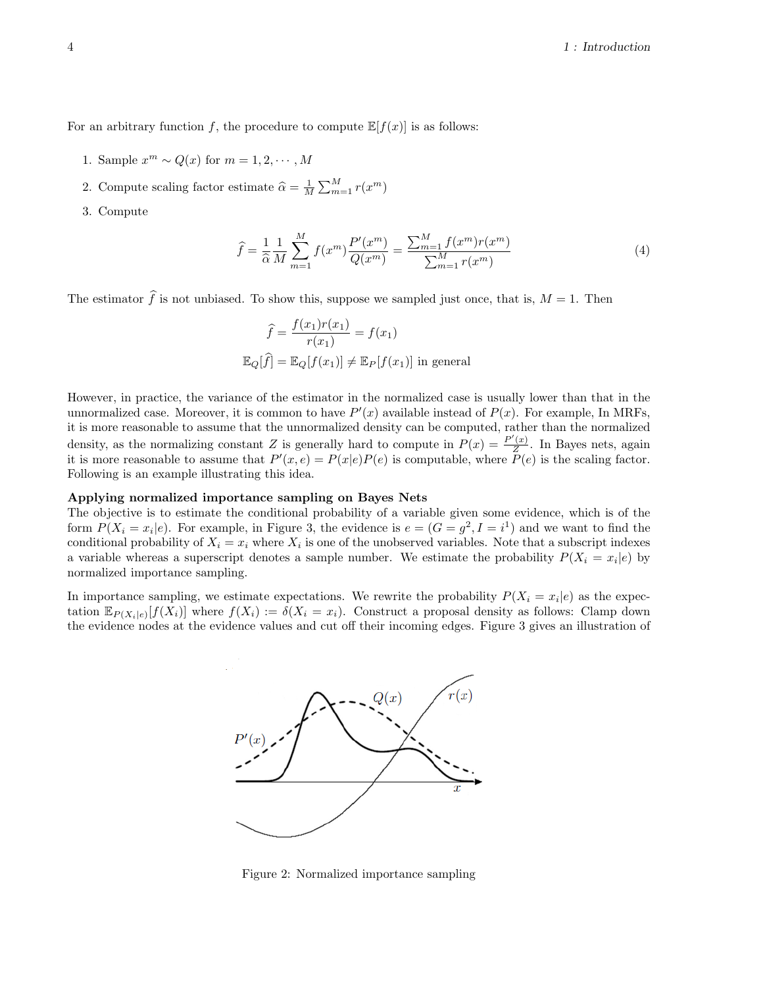For an arbitrary function f, the procedure to compute  $\mathbb{E}[f(x)]$  is as follows:

- 1. Sample  $x^m \sim Q(x)$  for  $m = 1, 2, \cdots, M$
- 2. Compute scaling factor estimate  $\widehat{\alpha} = \frac{1}{M} \sum_{m=1}^{M} r(x^m)$
- 3. Compute

$$
\hat{f} = \frac{1}{\hat{\alpha}} \frac{1}{M} \sum_{m=1}^{M} f(x^m) \frac{P'(x^m)}{Q(x^m)} = \frac{\sum_{m=1}^{M} f(x^m) r(x^m)}{\sum_{m=1}^{M} r(x^m)}
$$
(4)

The estimator  $\hat{f}$  is not unbiased. To show this, suppose we sampled just once, that is,  $M = 1$ . Then

$$
\widehat{f} = \frac{f(x_1)r(x_1)}{r(x_1)} = f(x_1)
$$

$$
\mathbb{E}_Q[\widehat{f}] = \mathbb{E}_Q[f(x_1)] \neq \mathbb{E}_P[f(x_1)] \text{ in general}
$$

However, in practice, the variance of the estimator in the normalized case is usually lower than that in the unnormalized case. Moreover, it is common to have  $P'(x)$  available instead of  $P(x)$ . For example, In MRFs, it is more reasonable to assume that the unnormalized density can be computed, rather than the normalized density, as the normalizing constant Z is generally hard to compute in  $P(x) = \frac{P'(x)}{Z}$  $\frac{f(x)}{Z}$ . In Bayes nets, again it is more reasonable to assume that  $P'(x, e) = P(x|e)P(e)$  is computable, where  $P(e)$  is the scaling factor. Following is an example illustrating this idea.

#### Applying normalized importance sampling on Bayes Nets

The objective is to estimate the conditional probability of a variable given some evidence, which is of the form  $P(X_i = x_i | e)$ . For example, in Figure 3, the evidence is  $e = (G = g^2, I = i^1)$  and we want to find the conditional probability of  $X_i = x_i$  where  $X_i$  is one of the unobserved variables. Note that a subscript indexes a variable whereas a superscript denotes a sample number. We estimate the probability  $P(X_i = x_i | e)$  by normalized importance sampling.

In importance sampling, we estimate expectations. We rewrite the probability  $P(X_i = x_i | e)$  as the expectation  $\mathbb{E}_{P(X_i|e)}[f(X_i)]$  where  $f(X_i) := \delta(X_i = x_i)$ . Construct a proposal density as follows: Clamp down the evidence nodes at the evidence values and cut off their incoming edges. Figure 3 gives an illustration of



Figure 2: Normalized importance sampling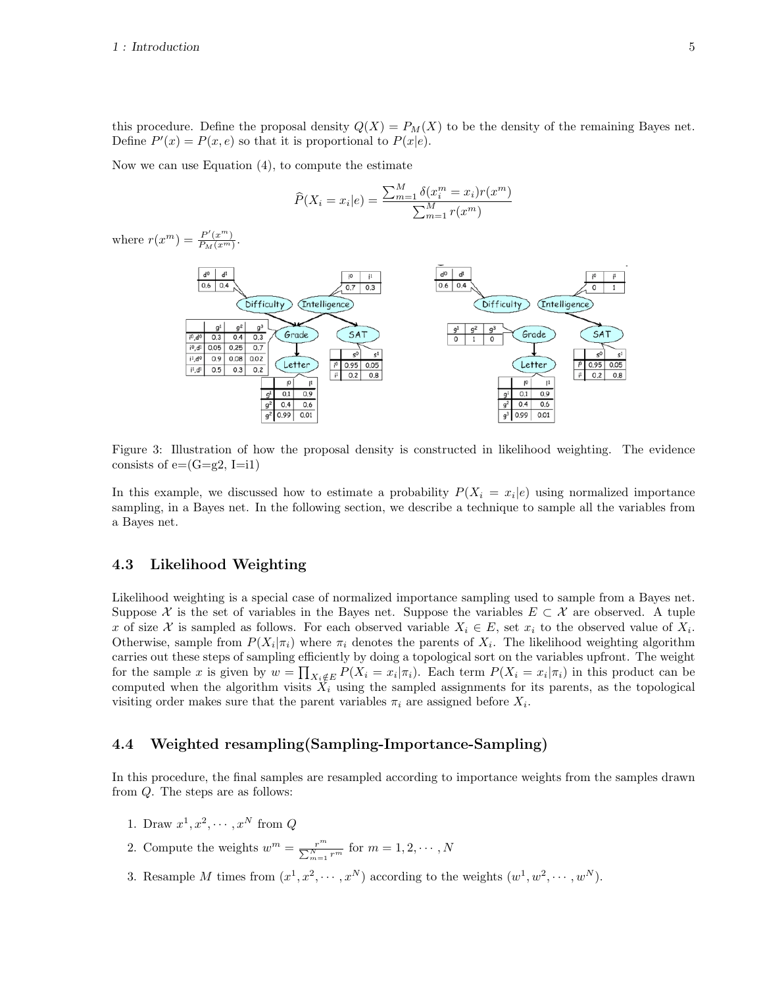this procedure. Define the proposal density  $Q(X) = P_M(X)$  to be the density of the remaining Bayes net. Define  $P'(x) = P(x, e)$  so that it is proportional to  $P(x|e)$ .

Now we can use Equation (4), to compute the estimate

$$
\widehat{P}(X_i = x_i | e) = \frac{\sum_{m=1}^{M} \delta(x_i^m = x_i) r(x^m)}{\sum_{m=1}^{M} r(x^m)}
$$

where  $r(x^m) = \frac{P'(x^m)}{P_M(x^m)}$  $\frac{P(x)}{P_M(x^m)}$ .



Figure 3: Illustration of how the proposal density is constructed in likelihood weighting. The evidence consists of  $e=(G=g2, I=i1)$ 

In this example, we discussed how to estimate a probability  $P(X_i = x_i | e)$  using normalized importance sampling, in a Bayes net. In the following section, we describe a technique to sample all the variables from a Bayes net.

#### 4.3 Likelihood Weighting

Likelihood weighting is a special case of normalized importance sampling used to sample from a Bayes net. Suppose X is the set of variables in the Bayes net. Suppose the variables  $E \subset \mathcal{X}$  are observed. A tuple x of size X is sampled as follows. For each observed variable  $X_i \in E$ , set  $x_i$  to the observed value of  $X_i$ . Otherwise, sample from  $P(X_i|\pi_i)$  where  $\pi_i$  denotes the parents of  $X_i$ . The likelihood weighting algorithm carries out these steps of sampling efficiently by doing a topological sort on the variables upfront. The weight for the sample x is given by  $w = \prod_{X_i \notin E} P(X_i = x_i | \pi_i)$ . Each term  $P(X_i = x_i | \pi_i)$  in this product can be computed when the algorithm visits  $\tilde{X}_i$  using the sampled assignments for its parents, as the topological visiting order makes sure that the parent variables  $\pi_i$  are assigned before  $X_i$ .

#### 4.4 Weighted resampling(Sampling-Importance-Sampling)

In this procedure, the final samples are resampled according to importance weights from the samples drawn from Q. The steps are as follows:

- 1. Draw  $x^1, x^2, \cdots, x^N$  from  $Q$
- 2. Compute the weights  $w^m = \frac{r^m}{\sum_{m=1}^N r^m}$  for  $m = 1, 2, \cdots, N$
- 3. Resample M times from  $(x^1, x^2, \dots, x^N)$  according to the weights  $(w^1, w^2, \dots, w^N)$ .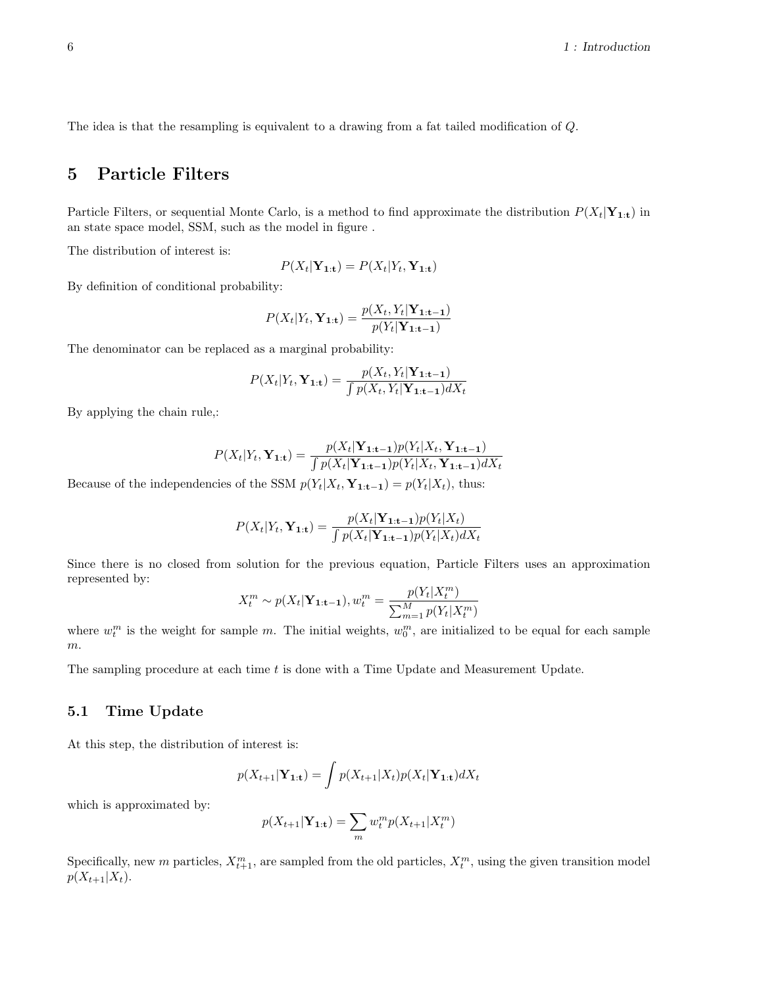The idea is that the resampling is equivalent to a drawing from a fat tailed modification of Q.

## 5 Particle Filters

Particle Filters, or sequential Monte Carlo, is a method to find approximate the distribution  $P(X_t|\mathbf{Y}_{1:t})$  in an state space model, SSM, such as the model in figure .

The distribution of interest is:

$$
P(X_t|\mathbf{Y}_{1:t}) = P(X_t|Y_t, \mathbf{Y}_{1:t})
$$

By definition of conditional probability:

$$
P(X_t|Y_t, \mathbf{Y}_{1:t}) = \frac{p(X_t, Y_t|\mathbf{Y}_{1:t-1})}{p(Y_t|\mathbf{Y}_{1:t-1})}
$$

The denominator can be replaced as a marginal probability:

$$
P(X_t|Y_t, \mathbf{Y}_{1:t}) = \frac{p(X_t, Y_t|\mathbf{Y}_{1:t-1})}{\int p(X_t, Y_t|\mathbf{Y}_{1:t-1})dX_t}
$$

By applying the chain rule,:

$$
P(X_t|Y_t, \mathbf{Y_{1:t}}) = \frac{p(X_t|\mathbf{Y_{1:t-1}})p(Y_t|X_t, \mathbf{Y_{1:t-1}})}{\int p(X_t|\mathbf{Y_{1:t-1}})p(Y_t|X_t, \mathbf{Y_{1:t-1}})dX_t}
$$

Because of the independencies of the SSM  $p(Y_t|X_t, \mathbf{Y_{1:t-1}}) = p(Y_t|X_t)$ , thus:

$$
P(X_t|Y_t, \mathbf{Y}_{1:t}) = \frac{p(X_t|\mathbf{Y}_{1:t-1})p(Y_t|X_t)}{\int p(X_t|\mathbf{Y}_{1:t-1})p(Y_t|X_t)dX_t}
$$

Since there is no closed from solution for the previous equation, Particle Filters uses an approximation represented by:

$$
X_t^m \sim p(X_t | \mathbf{Y}_{1:t-1}), w_t^m = \frac{p(Y_t | X_t^m)}{\sum_{m=1}^M p(Y_t | X_t^m)}
$$

where  $w_t^m$  is the weight for sample m. The initial weights,  $w_0^m$ , are initialized to be equal for each sample  $m$ .

The sampling procedure at each time  $t$  is done with a Time Update and Measurement Update.

### 5.1 Time Update

At this step, the distribution of interest is:

$$
p(X_{t+1}|\mathbf{Y}_{1:t}) = \int p(X_{t+1}|X_t)p(X_t|\mathbf{Y}_{1:t})dX_t
$$

which is approximated by:

$$
p(X_{t+1}|\mathbf{Y}_{1:t}) = \sum_{m} w_t^m p(X_{t+1}|X_t^m)
$$

Specifically, new m particles,  $X_{t+1}^m$ , are sampled from the old particles,  $X_t^m$ , using the given transition model  $p(X_{t+1}|X_t)$ .